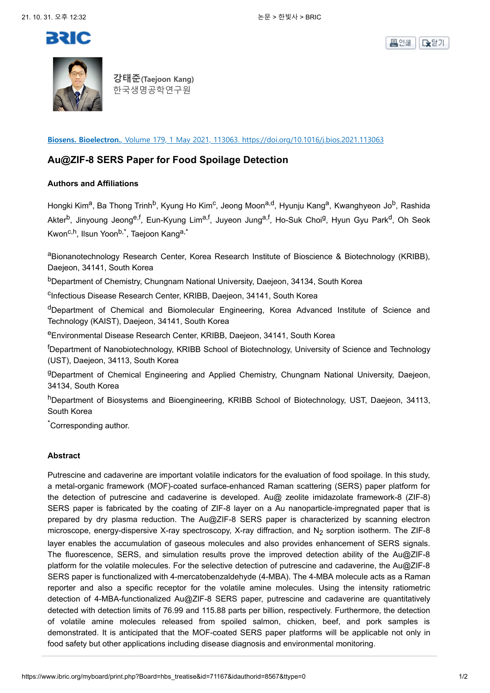





**강태준(Taejoon Kang)** 한국생명공학연구원

**Biosens. Bioelectron.**, Volume 179, 1 May 2021, 113063. https://doi.org/10.1016/j.bios.2021.113063

## **Au@ZIF-8 SERS Paper for Food Spoilage Detection**

## **Authors and Affiliations**

Hongki Kim<sup>a</sup>, Ba Thong Trinh<sup>b</sup>, Kyung Ho Kim<sup>c</sup>, Jeong Moon<sup>a,d</sup>, Hyunju Kang<sup>a</sup>, Kwanghyeon Jo<sup>b</sup>, Rashida Akter<sup>b</sup>, Jinyoung Jeong<sup>e,f</sup>, Eun-Kyung Lim<sup>a,f</sup>, Juyeon Jung<sup>a,f</sup>, Ho-Suk Choi<sup>g</sup>, Hyun Gyu Park<sup>d</sup>, Oh Seok Kwon<sup>c,h</sup>, Ilsun Yoon<sup>b,\*</sup>, Taejoon Kang<sup>a,\*</sup>

aBionanotechnology Research Center, Korea Research Institute of Bioscience & Biotechnology (KRIBB), Daejeon, 34141, South Korea

<sup>b</sup>Department of Chemistry, Chungnam National University, Daejeon, 34134, South Korea

<sup>c</sup>Infectious Disease Research Center, KRIBB, Daejeon, 34141, South Korea

<sup>d</sup>Department of Chemical and Biomolecular Engineering, Korea Advanced Institute of Science and Technology (KAIST), Daejeon, 34141, South Korea

<sup>e</sup>Environmental Disease Research Center, KRIBB, Daejeon, 34141, South Korea

<sup>f</sup>Department of Nanobiotechnology, KRIBB School of Biotechnology, University of Science and Technology (UST), Daejeon, 34113, South Korea

<sup>g</sup>Department of Chemical Engineering and Applied Chemistry, Chungnam National University, Daejeon, 34134, South Korea

hDepartment of Biosystems and Bioengineering, KRIBB School of Biotechnology, UST, Daejeon, 34113, South Korea

\*Corresponding author.

## **Abstract**

Putrescine and cadaverine are important volatile indicators for the evaluation of food spoilage. In this study, a metal-organic framework (MOF)-coated surface-enhanced Raman scattering (SERS) paper platform for the detection of putrescine and cadaverine is developed. Au@ zeolite imidazolate framework-8 (ZIF-8) SERS paper is fabricated by the coating of ZIF-8 layer on a Au nanoparticle-impregnated paper that is prepared by dry plasma reduction. The Au@ZIF-8 SERS paper is characterized by scanning electron microscope, energy-dispersive X-ray spectroscopy, X-ray diffraction, and  $N<sub>2</sub>$  sorption isotherm. The ZIF-8 layer enables the accumulation of gaseous molecules and also provides enhancement of SERS signals. The fluorescence, SERS, and simulation results prove the improved detection ability of the Au@ZIF-8 platform for the volatile molecules. For the selective detection of putrescine and cadaverine, the Au@ZIF-8 SERS paper is functionalized with 4-mercatobenzaldehyde (4-MBA). The 4-MBA molecule acts as a Raman reporter and also a specific receptor for the volatile amine molecules. Using the intensity ratiometric detection of 4-MBA-functionalized Au@ZIF-8 SERS paper, putrescine and cadaverine are quantitatively detected with detection limits of 76.99 and 115.88 parts per billion, respectively. Furthermore, the detection of volatile amine molecules released from spoiled salmon, chicken, beef, and pork samples is demonstrated. It is anticipated that the MOF-coated SERS paper platforms will be applicable not only in food safety but other applications including disease diagnosis and environmental monitoring.